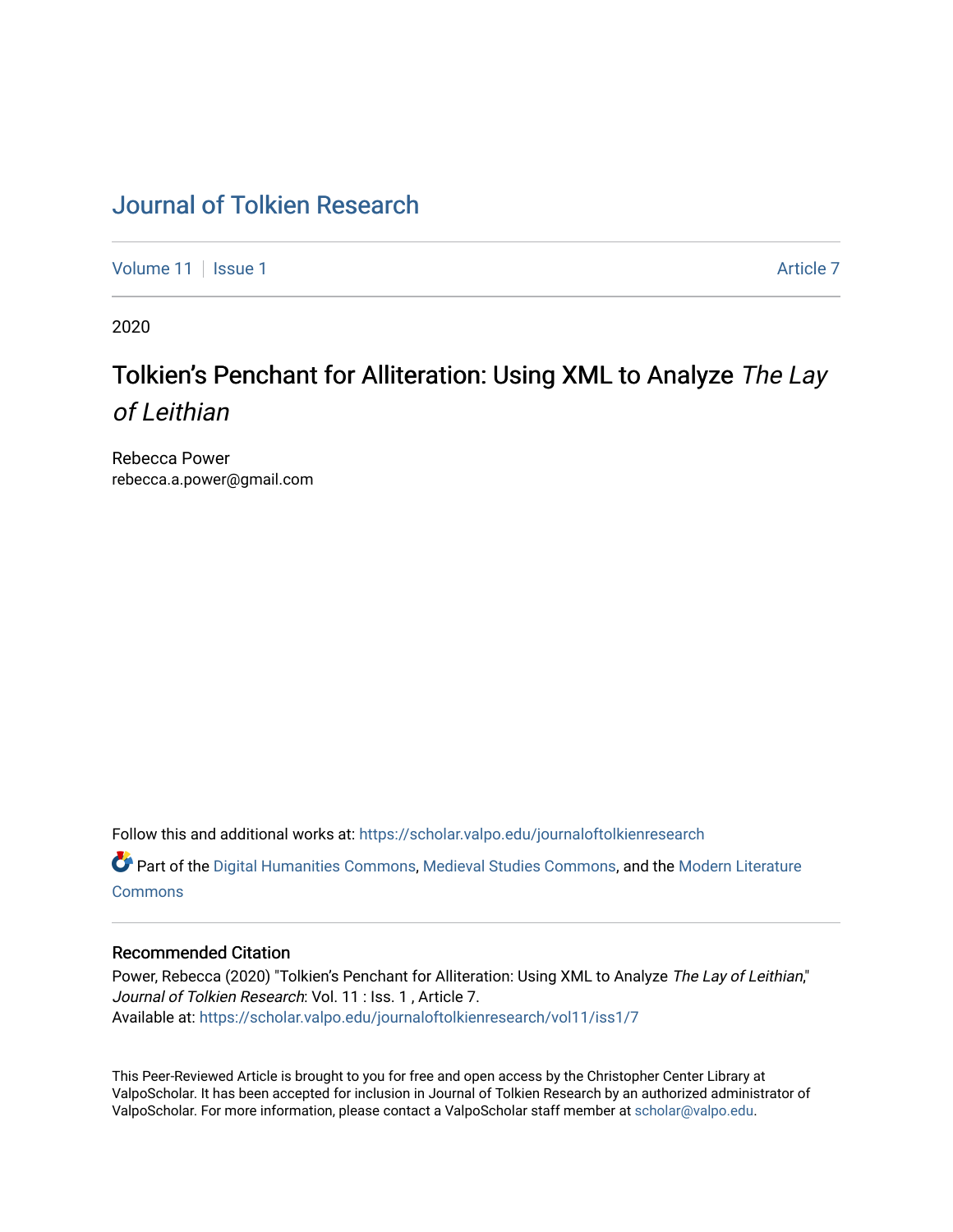# [Journal of Tolkien Research](https://scholar.valpo.edu/journaloftolkienresearch)

[Volume 11](https://scholar.valpo.edu/journaloftolkienresearch/vol11) | [Issue 1](https://scholar.valpo.edu/journaloftolkienresearch/vol11/iss1) Article 7

2020

# Tolkien's Penchant for Alliteration: Using XML to Analyze The Lay of Leithian

Rebecca Power rebecca.a.power@gmail.com

Follow this and additional works at: [https://scholar.valpo.edu/journaloftolkienresearch](https://scholar.valpo.edu/journaloftolkienresearch?utm_source=scholar.valpo.edu%2Fjournaloftolkienresearch%2Fvol11%2Fiss1%2F7&utm_medium=PDF&utm_campaign=PDFCoverPages) 

Part of the [Digital Humanities Commons](http://network.bepress.com/hgg/discipline/1286?utm_source=scholar.valpo.edu%2Fjournaloftolkienresearch%2Fvol11%2Fiss1%2F7&utm_medium=PDF&utm_campaign=PDFCoverPages), [Medieval Studies Commons](http://network.bepress.com/hgg/discipline/480?utm_source=scholar.valpo.edu%2Fjournaloftolkienresearch%2Fvol11%2Fiss1%2F7&utm_medium=PDF&utm_campaign=PDFCoverPages), and the [Modern Literature](http://network.bepress.com/hgg/discipline/1050?utm_source=scholar.valpo.edu%2Fjournaloftolkienresearch%2Fvol11%2Fiss1%2F7&utm_medium=PDF&utm_campaign=PDFCoverPages) **[Commons](http://network.bepress.com/hgg/discipline/1050?utm_source=scholar.valpo.edu%2Fjournaloftolkienresearch%2Fvol11%2Fiss1%2F7&utm_medium=PDF&utm_campaign=PDFCoverPages)** 

#### Recommended Citation

Power, Rebecca (2020) "Tolkien's Penchant for Alliteration: Using XML to Analyze The Lay of Leithian," Journal of Tolkien Research: Vol. 11 : Iss. 1 , Article 7. Available at: [https://scholar.valpo.edu/journaloftolkienresearch/vol11/iss1/7](https://scholar.valpo.edu/journaloftolkienresearch/vol11/iss1/7?utm_source=scholar.valpo.edu%2Fjournaloftolkienresearch%2Fvol11%2Fiss1%2F7&utm_medium=PDF&utm_campaign=PDFCoverPages) 

This Peer-Reviewed Article is brought to you for free and open access by the Christopher Center Library at ValpoScholar. It has been accepted for inclusion in Journal of Tolkien Research by an authorized administrator of ValpoScholar. For more information, please contact a ValpoScholar staff member at [scholar@valpo.edu](mailto:scholar@valpo.edu).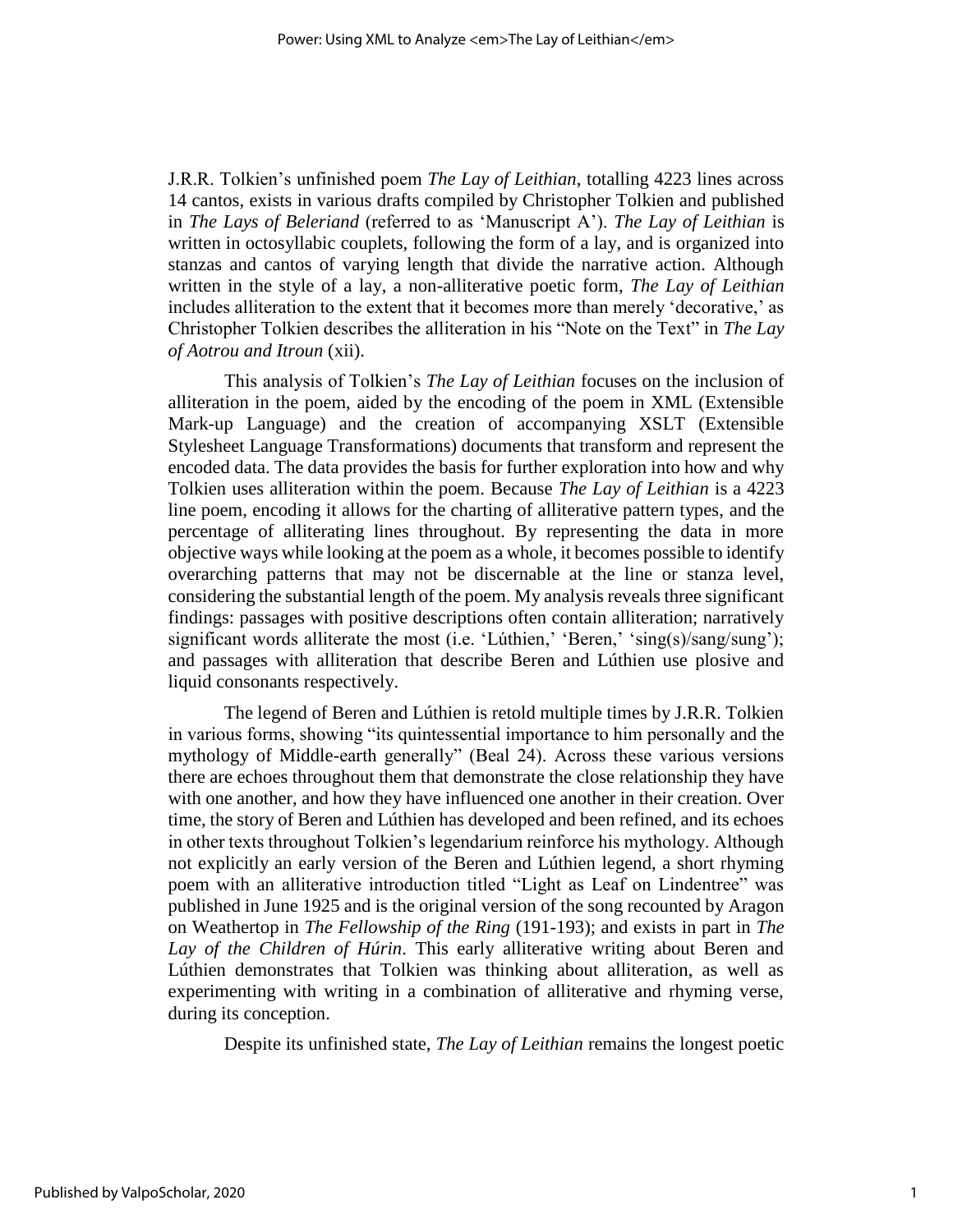J.R.R. Tolkien's unfinished poem *The Lay of Leithian*, totalling 4223 lines across 14 cantos, exists in various drafts compiled by Christopher Tolkien and published in *The Lays of Beleriand* (referred to as 'Manuscript A'). *The Lay of Leithian* is written in octosyllabic couplets, following the form of a lay, and is organized into stanzas and cantos of varying length that divide the narrative action. Although written in the style of a lay, a non-alliterative poetic form, *The Lay of Leithian* includes alliteration to the extent that it becomes more than merely 'decorative,' as Christopher Tolkien describes the alliteration in his "Note on the Text" in *The Lay of Aotrou and Itroun* (xii).

This analysis of Tolkien's *The Lay of Leithian* focuses on the inclusion of alliteration in the poem, aided by the encoding of the poem in XML (Extensible Mark-up Language) and the creation of accompanying XSLT (Extensible Stylesheet Language Transformations) documents that transform and represent the encoded data. The data provides the basis for further exploration into how and why Tolkien uses alliteration within the poem. Because *The Lay of Leithian* is a 4223 line poem, encoding it allows for the charting of alliterative pattern types, and the percentage of alliterating lines throughout. By representing the data in more objective ways while looking at the poem as a whole, it becomes possible to identify overarching patterns that may not be discernable at the line or stanza level, considering the substantial length of the poem. My analysis reveals three significant findings: passages with positive descriptions often contain alliteration; narratively significant words alliterate the most (i.e. 'Lúthien,' 'Beren,' 'sing(s)/sang/sung'); and passages with alliteration that describe Beren and Lúthien use plosive and liquid consonants respectively.

The legend of Beren and Lúthien is retold multiple times by J.R.R. Tolkien in various forms, showing "its quintessential importance to him personally and the mythology of Middle-earth generally" (Beal 24). Across these various versions there are echoes throughout them that demonstrate the close relationship they have with one another, and how they have influenced one another in their creation. Over time, the story of Beren and Lúthien has developed and been refined, and its echoes in other texts throughout Tolkien's legendarium reinforce his mythology. Although not explicitly an early version of the Beren and Lúthien legend, a short rhyming poem with an alliterative introduction titled "Light as Leaf on Lindentree" was published in June 1925 and is the original version of the song recounted by Aragon on Weathertop in *The Fellowship of the Ring* (191-193); and exists in part in *The Lay of the Children of Húrin*. This early alliterative writing about Beren and Lúthien demonstrates that Tolkien was thinking about alliteration, as well as experimenting with writing in a combination of alliterative and rhyming verse, during its conception.

Despite its unfinished state, *The Lay of Leithian* remains the longest poetic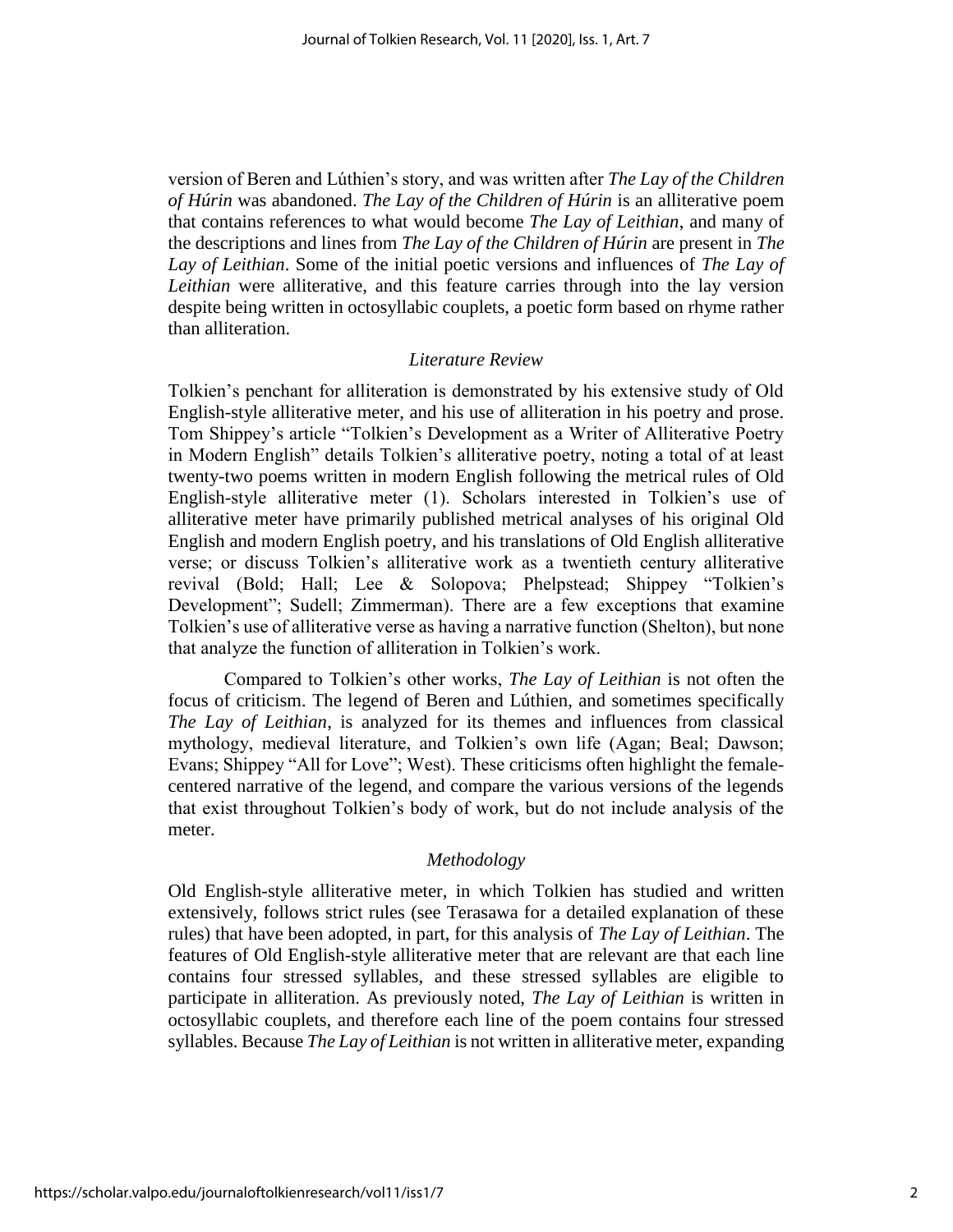version of Beren and Lúthien's story, and was written after *The Lay of the Children of Húrin* was abandoned. *The Lay of the Children of Húrin* is an alliterative poem that contains references to what would become *The Lay of Leithian*, and many of the descriptions and lines from *The Lay of the Children of Húrin* are present in *The Lay of Leithian*. Some of the initial poetic versions and influences of *The Lay of Leithian* were alliterative, and this feature carries through into the lay version despite being written in octosyllabic couplets, a poetic form based on rhyme rather than alliteration.

#### *Literature Review*

Tolkien's penchant for alliteration is demonstrated by his extensive study of Old English-style alliterative meter, and his use of alliteration in his poetry and prose. Tom Shippey's article "Tolkien's Development as a Writer of Alliterative Poetry in Modern English" details Tolkien's alliterative poetry, noting a total of at least twenty-two poems written in modern English following the metrical rules of Old English-style alliterative meter (1). Scholars interested in Tolkien's use of alliterative meter have primarily published metrical analyses of his original Old English and modern English poetry, and his translations of Old English alliterative verse; or discuss Tolkien's alliterative work as a twentieth century alliterative revival (Bold; Hall; Lee & Solopova; Phelpstead; Shippey "Tolkien's Development"; Sudell; Zimmerman). There are a few exceptions that examine Tolkien's use of alliterative verse as having a narrative function (Shelton), but none that analyze the function of alliteration in Tolkien's work.

Compared to Tolkien's other works, *The Lay of Leithian* is not often the focus of criticism. The legend of Beren and Lúthien, and sometimes specifically *The Lay of Leithian*, is analyzed for its themes and influences from classical mythology, medieval literature, and Tolkien's own life (Agan; Beal; Dawson; Evans; Shippey "All for Love"; West). These criticisms often highlight the femalecentered narrative of the legend, and compare the various versions of the legends that exist throughout Tolkien's body of work, but do not include analysis of the meter.

#### *Methodology*

Old English-style alliterative meter, in which Tolkien has studied and written extensively, follows strict rules (see Terasawa for a detailed explanation of these rules) that have been adopted, in part, for this analysis of *The Lay of Leithian*. The features of Old English-style alliterative meter that are relevant are that each line contains four stressed syllables, and these stressed syllables are eligible to participate in alliteration. As previously noted, *The Lay of Leithian* is written in octosyllabic couplets, and therefore each line of the poem contains four stressed syllables. Because *The Lay of Leithian* is not written in alliterative meter, expanding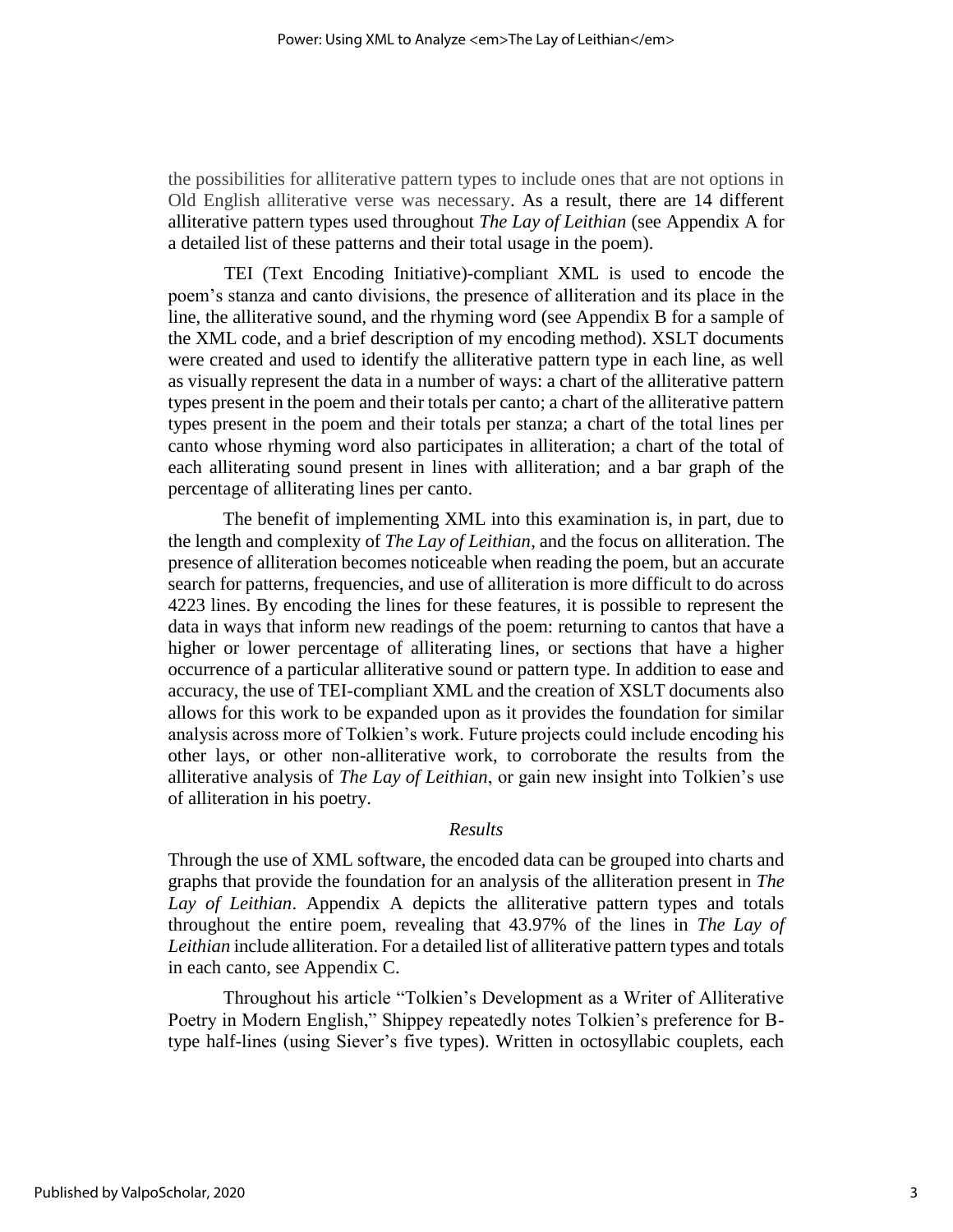the possibilities for alliterative pattern types to include ones that are not options in Old English alliterative verse was necessary. As a result, there are 14 different alliterative pattern types used throughout *The Lay of Leithian* (see Appendix A for a detailed list of these patterns and their total usage in the poem).

TEI (Text Encoding Initiative)-compliant XML is used to encode the poem's stanza and canto divisions, the presence of alliteration and its place in the line, the alliterative sound, and the rhyming word (see Appendix B for a sample of the XML code, and a brief description of my encoding method). XSLT documents were created and used to identify the alliterative pattern type in each line, as well as visually represent the data in a number of ways: a chart of the alliterative pattern types present in the poem and their totals per canto; a chart of the alliterative pattern types present in the poem and their totals per stanza; a chart of the total lines per canto whose rhyming word also participates in alliteration; a chart of the total of each alliterating sound present in lines with alliteration; and a bar graph of the percentage of alliterating lines per canto.

The benefit of implementing XML into this examination is, in part, due to the length and complexity of *The Lay of Leithian*, and the focus on alliteration. The presence of alliteration becomes noticeable when reading the poem, but an accurate search for patterns, frequencies, and use of alliteration is more difficult to do across 4223 lines. By encoding the lines for these features, it is possible to represent the data in ways that inform new readings of the poem: returning to cantos that have a higher or lower percentage of alliterating lines, or sections that have a higher occurrence of a particular alliterative sound or pattern type. In addition to ease and accuracy, the use of TEI-compliant XML and the creation of XSLT documents also allows for this work to be expanded upon as it provides the foundation for similar analysis across more of Tolkien's work. Future projects could include encoding his other lays, or other non-alliterative work, to corroborate the results from the alliterative analysis of *The Lay of Leithian*, or gain new insight into Tolkien's use of alliteration in his poetry.

#### *Results*

Through the use of XML software, the encoded data can be grouped into charts and graphs that provide the foundation for an analysis of the alliteration present in *The Lay of Leithian*. Appendix A depicts the alliterative pattern types and totals throughout the entire poem, revealing that 43.97% of the lines in *The Lay of Leithian* include alliteration. For a detailed list of alliterative pattern types and totals in each canto, see Appendix C.

Throughout his article "Tolkien's Development as a Writer of Alliterative Poetry in Modern English," Shippey repeatedly notes Tolkien's preference for Btype half-lines (using Siever's five types). Written in octosyllabic couplets, each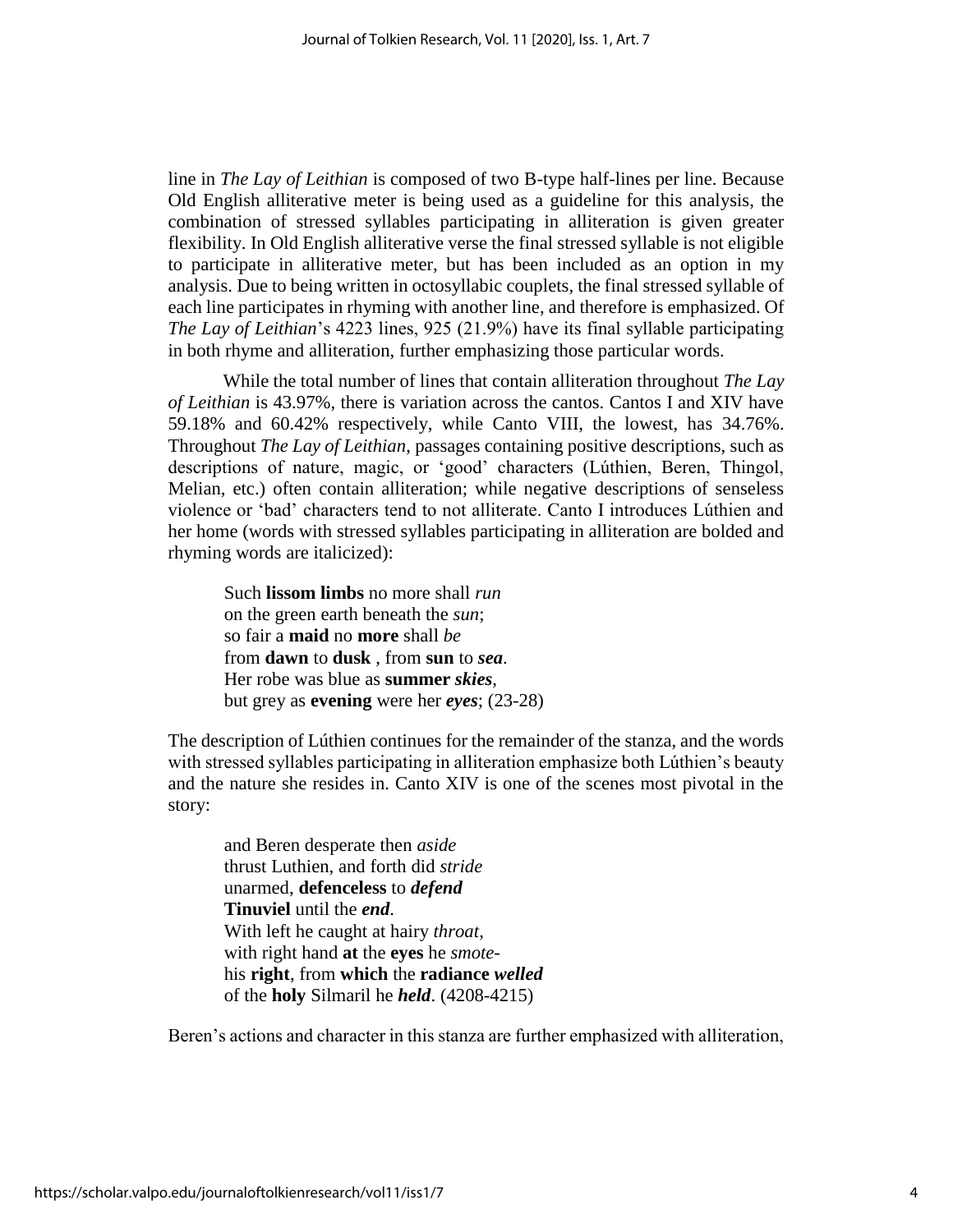line in *The Lay of Leithian* is composed of two B-type half-lines per line. Because Old English alliterative meter is being used as a guideline for this analysis, the combination of stressed syllables participating in alliteration is given greater flexibility. In Old English alliterative verse the final stressed syllable is not eligible to participate in alliterative meter, but has been included as an option in my analysis. Due to being written in octosyllabic couplets, the final stressed syllable of each line participates in rhyming with another line, and therefore is emphasized. Of *The Lay of Leithian*'s 4223 lines, 925 (21.9%) have its final syllable participating in both rhyme and alliteration, further emphasizing those particular words.

While the total number of lines that contain alliteration throughout *The Lay of Leithian* is 43.97%, there is variation across the cantos. Cantos I and XIV have 59.18% and 60.42% respectively, while Canto VIII, the lowest, has 34.76%. Throughout *The Lay of Leithian*, passages containing positive descriptions, such as descriptions of nature, magic, or 'good' characters (Lúthien, Beren, Thingol, Melian, etc.) often contain alliteration; while negative descriptions of senseless violence or 'bad' characters tend to not alliterate. Canto I introduces Lúthien and her home (words with stressed syllables participating in alliteration are bolded and rhyming words are italicized):

Such **lissom limbs** no more shall *run*  on the green earth beneath the *sun*; so fair a **maid** no **more** shall *be*  from **dawn** to **dusk** , from **sun** to *sea*. Her robe was blue as **summer** *skies*, but grey as **evening** were her *eyes*; (23-28)

The description of Lúthien continues for the remainder of the stanza, and the words with stressed syllables participating in alliteration emphasize both Lúthien's beauty and the nature she resides in. Canto XIV is one of the scenes most pivotal in the story:

and Beren desperate then *aside*  thrust Luthien, and forth did *stride* unarmed, **defenceless** to *defend*  **Tinuviel** until the *end*. With left he caught at hairy *throat*, with right hand **at** the **eyes** he *smote*his **right**, from **which** the **radiance** *welled*  of the **holy** Silmaril he *held*. (4208-4215)

Beren's actions and character in this stanza are further emphasized with alliteration,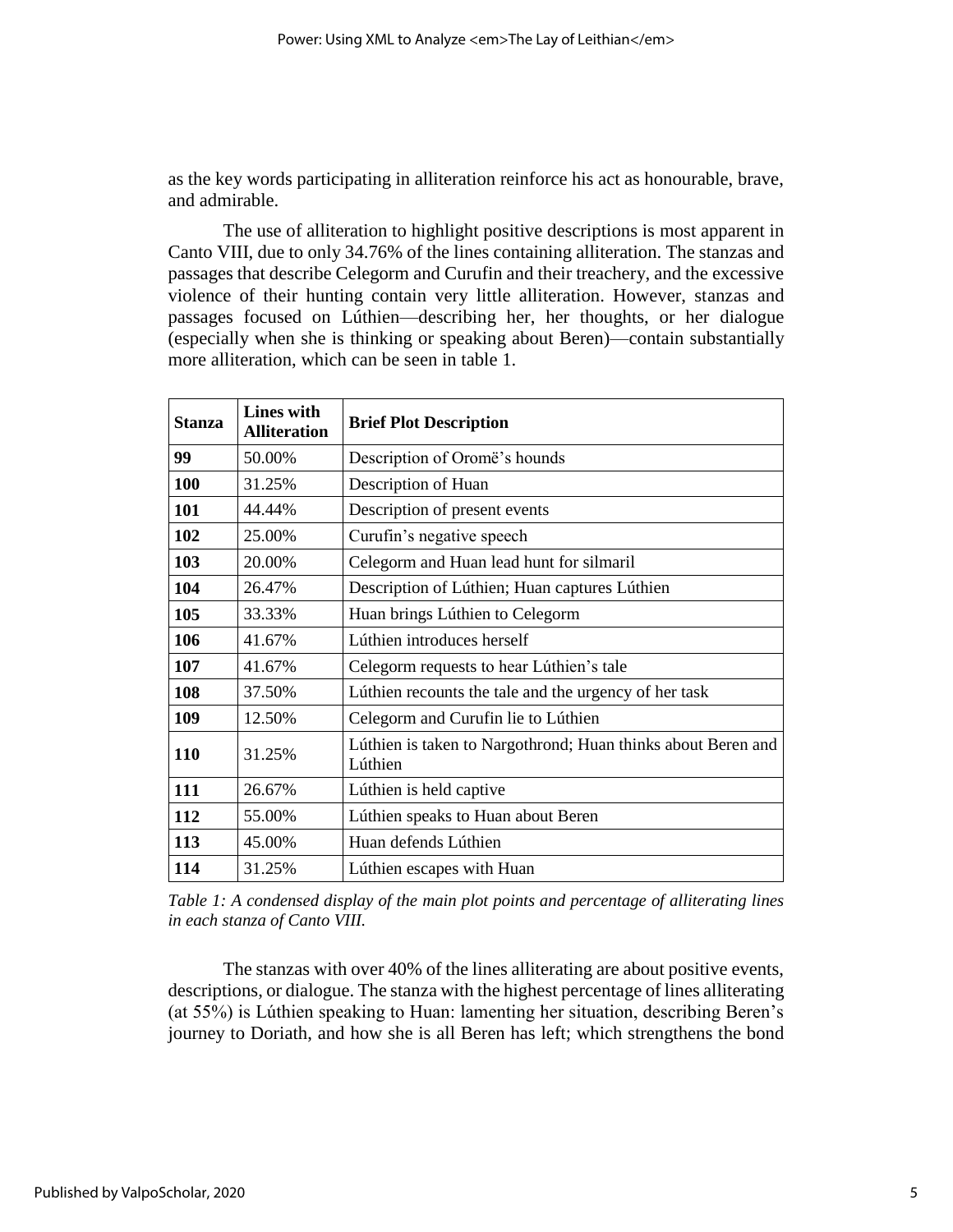as the key words participating in alliteration reinforce his act as honourable, brave, and admirable.

The use of alliteration to highlight positive descriptions is most apparent in Canto VIII, due to only 34.76% of the lines containing alliteration. The stanzas and passages that describe Celegorm and Curufin and their treachery, and the excessive violence of their hunting contain very little alliteration. However, stanzas and passages focused on Lúthien—describing her, her thoughts, or her dialogue (especially when she is thinking or speaking about Beren)—contain substantially more alliteration, which can be seen in table 1.

| <b>Stanza</b> | <b>Lines with</b><br><b>Alliteration</b> | <b>Brief Plot Description</b>                                           |
|---------------|------------------------------------------|-------------------------------------------------------------------------|
| 99            | 50.00%                                   | Description of Oromë's hounds                                           |
| 100           | 31.25%                                   | Description of Huan                                                     |
| 101           | 44.44%                                   | Description of present events                                           |
| 102           | 25.00%                                   | Curufin's negative speech                                               |
| 103           | 20.00%                                   | Celegorm and Huan lead hunt for silmaril                                |
| 104           | 26.47%                                   | Description of Lúthien; Huan captures Lúthien                           |
| 105           | 33.33%                                   | Huan brings Lúthien to Celegorm                                         |
| 106           | 41.67%                                   | Lúthien introduces herself                                              |
| 107           | 41.67%                                   | Celegorm requests to hear Lúthien's tale                                |
| 108           | 37.50%                                   | Lúthien recounts the tale and the urgency of her task                   |
| 109           | 12.50%                                   | Celegorm and Curufin lie to Lúthien                                     |
| 110           | 31.25%                                   | Lúthien is taken to Nargothrond; Huan thinks about Beren and<br>Lúthien |
| 111           | 26.67%                                   | Lúthien is held captive                                                 |
| 112           | 55.00%                                   | Lúthien speaks to Huan about Beren                                      |
| 113           | 45.00%                                   | Huan defends Lúthien                                                    |
| 114           | 31.25%                                   | Lúthien escapes with Huan                                               |

*Table 1: A condensed display of the main plot points and percentage of alliterating lines in each stanza of Canto VIII.* 

The stanzas with over 40% of the lines alliterating are about positive events, descriptions, or dialogue. The stanza with the highest percentage of lines alliterating (at 55%) is Lúthien speaking to Huan: lamenting her situation, describing Beren's journey to Doriath, and how she is all Beren has left; which strengthens the bond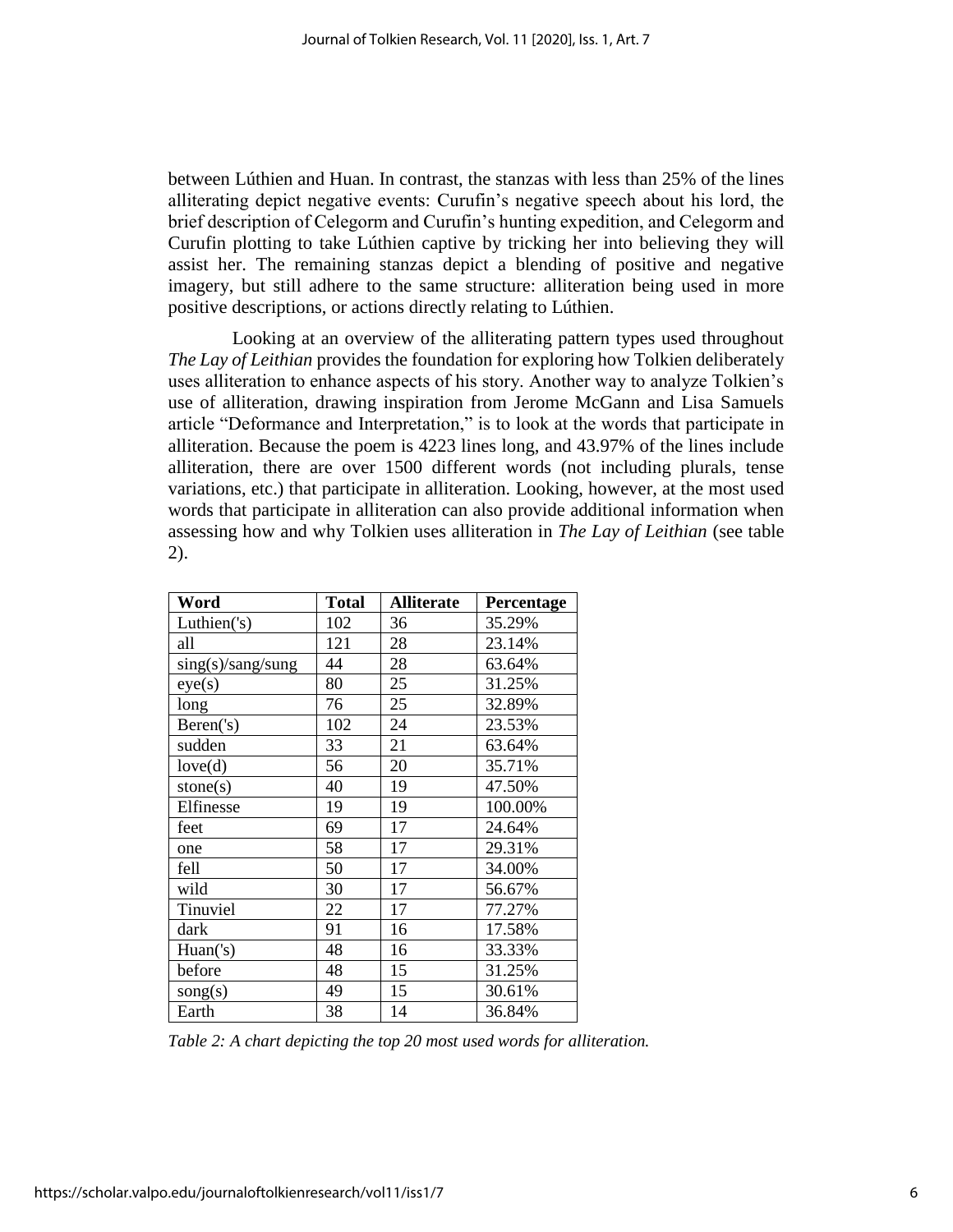between Lúthien and Huan. In contrast, the stanzas with less than 25% of the lines alliterating depict negative events: Curufin's negative speech about his lord, the brief description of Celegorm and Curufin's hunting expedition, and Celegorm and Curufin plotting to take Lúthien captive by tricking her into believing they will assist her. The remaining stanzas depict a blending of positive and negative imagery, but still adhere to the same structure: alliteration being used in more positive descriptions, or actions directly relating to Lúthien.

Looking at an overview of the alliterating pattern types used throughout *The Lay of Leithian* provides the foundation for exploring how Tolkien deliberately uses alliteration to enhance aspects of his story. Another way to analyze Tolkien's use of alliteration, drawing inspiration from Jerome McGann and Lisa Samuels article "Deformance and Interpretation," is to look at the words that participate in alliteration. Because the poem is 4223 lines long, and 43.97% of the lines include alliteration, there are over 1500 different words (not including plurals, tense variations, etc.) that participate in alliteration. Looking, however, at the most used words that participate in alliteration can also provide additional information when assessing how and why Tolkien uses alliteration in *The Lay of Leithian* (see table 2).

| Word              | <b>Total</b> | <b>Alliterate</b> | Percentage |
|-------------------|--------------|-------------------|------------|
| Luthien('s)       | 102          | 36                | 35.29%     |
| all               | 121          | 28                | 23.14%     |
| sing(s)/sang/sung | 44           | 28                | 63.64%     |
| eye(s)            | 80           | 25                | 31.25%     |
| long              | 76           | 25                | 32.89%     |
| Beren('s)         | 102          | 24                | 23.53%     |
| sudden            | 33           | 21                | 63.64%     |
| love(d)           | 56           | 20                | 35.71%     |
| stone(s)          | 40           | 19                | 47.50%     |
| Elfinesse         | 19           | 19                | 100.00%    |
| feet              | 69           | 17                | 24.64%     |
| one               | 58           | 17                | 29.31%     |
| fell              | 50           | 17                | 34.00%     |
| wild              | 30           | 17                | 56.67%     |
| Tinuviel          | 22           | 17                | 77.27%     |
| dark              | 91           | 16                | 17.58%     |
| Huan('s)          | 48           | 16                | 33.33%     |
| before            | 48           | 15                | 31.25%     |
| song(s)           | 49           | 15                | 30.61%     |
| Earth             | 38           | 14                | 36.84%     |

*Table 2: A chart depicting the top 20 most used words for alliteration.*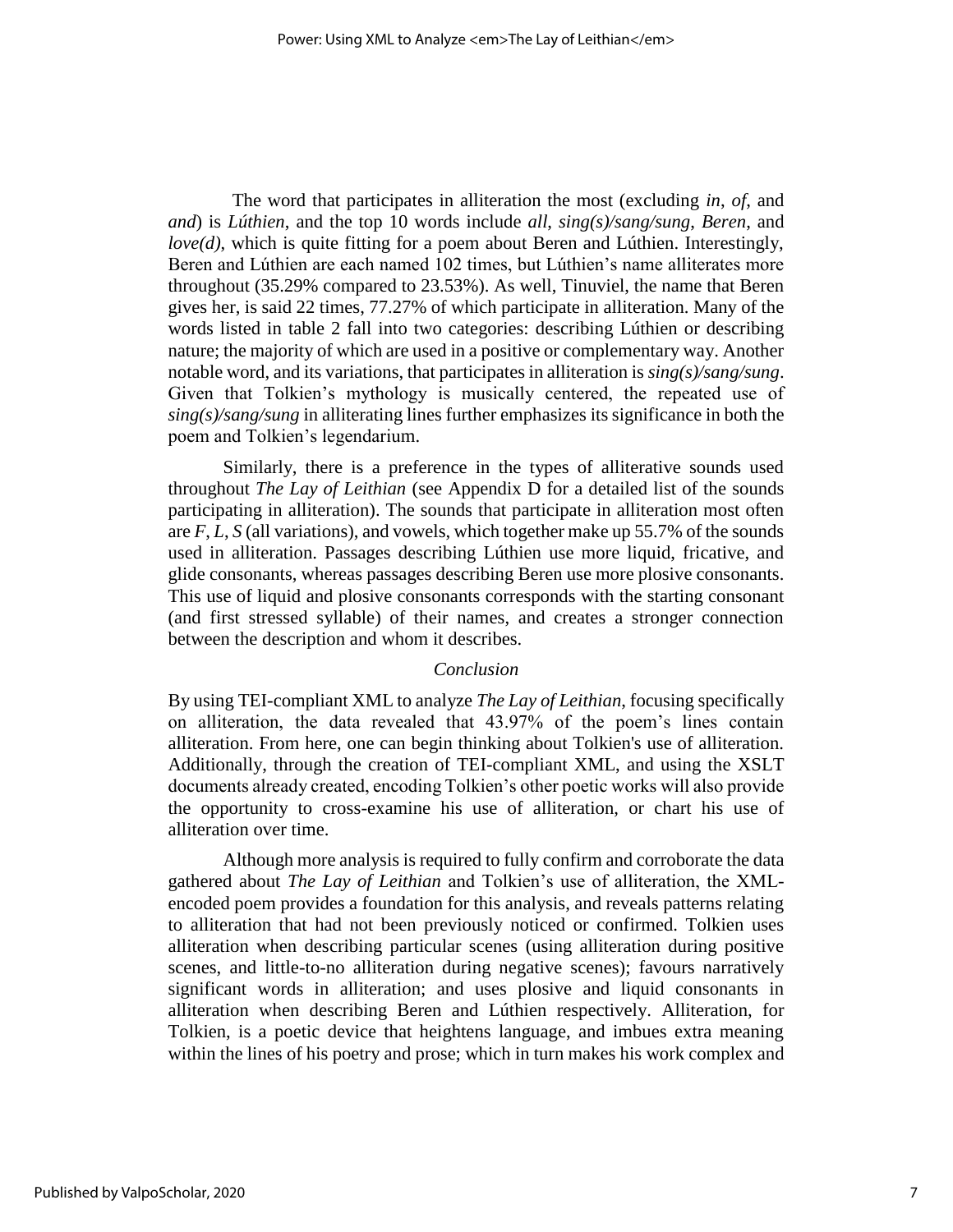The word that participates in alliteration the most (excluding *in*, *of*, and *and*) is *Lúthien*, and the top 10 words include *all*, *sing(s)/sang/sung*, *Beren*, and *love(d)*, which is quite fitting for a poem about Beren and Lúthien. Interestingly, Beren and Lúthien are each named 102 times, but Lúthien's name alliterates more throughout (35.29% compared to 23.53%). As well, Tinuviel, the name that Beren gives her, is said 22 times, 77.27% of which participate in alliteration. Many of the words listed in table 2 fall into two categories: describing Lúthien or describing nature; the majority of which are used in a positive or complementary way. Another notable word, and its variations, that participates in alliteration is *sing(s)/sang/sung*. Given that Tolkien's mythology is musically centered, the repeated use of *sing(s)/sang/sung* in alliterating lines further emphasizes its significance in both the poem and Tolkien's legendarium.

Similarly, there is a preference in the types of alliterative sounds used throughout *The Lay of Leithian* (see Appendix D for a detailed list of the sounds participating in alliteration). The sounds that participate in alliteration most often are *F*, *L*, *S* (all variations), and vowels, which together make up 55.7% of the sounds used in alliteration. Passages describing Lúthien use more liquid, fricative, and glide consonants, whereas passages describing Beren use more plosive consonants. This use of liquid and plosive consonants corresponds with the starting consonant (and first stressed syllable) of their names, and creates a stronger connection between the description and whom it describes.

#### *Conclusion*

By using TEI-compliant XML to analyze *The Lay of Leithian*, focusing specifically on alliteration, the data revealed that 43.97% of the poem's lines contain alliteration. From here, one can begin thinking about Tolkien's use of alliteration. Additionally, through the creation of TEI-compliant XML, and using the XSLT documents already created, encoding Tolkien's other poetic works will also provide the opportunity to cross-examine his use of alliteration, or chart his use of alliteration over time.

Although more analysis is required to fully confirm and corroborate the data gathered about *The Lay of Leithian* and Tolkien's use of alliteration, the XMLencoded poem provides a foundation for this analysis, and reveals patterns relating to alliteration that had not been previously noticed or confirmed. Tolkien uses alliteration when describing particular scenes (using alliteration during positive scenes, and little-to-no alliteration during negative scenes); favours narratively significant words in alliteration; and uses plosive and liquid consonants in alliteration when describing Beren and Lúthien respectively. Alliteration, for Tolkien, is a poetic device that heightens language, and imbues extra meaning within the lines of his poetry and prose; which in turn makes his work complex and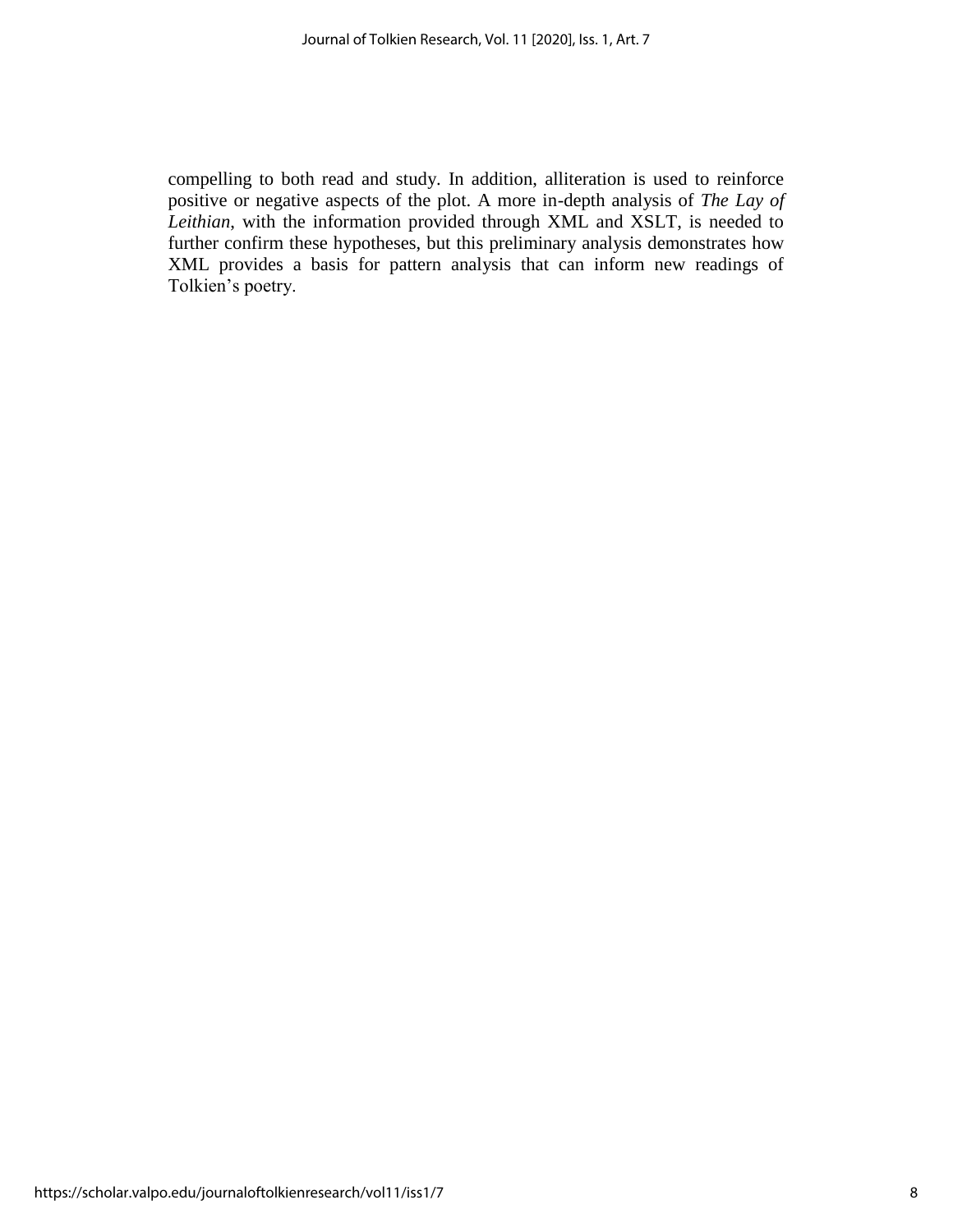compelling to both read and study. In addition, alliteration is used to reinforce positive or negative aspects of the plot. A more in-depth analysis of *The Lay of Leithian*, with the information provided through XML and XSLT, is needed to further confirm these hypotheses, but this preliminary analysis demonstrates how XML provides a basis for pattern analysis that can inform new readings of Tolkien's poetry.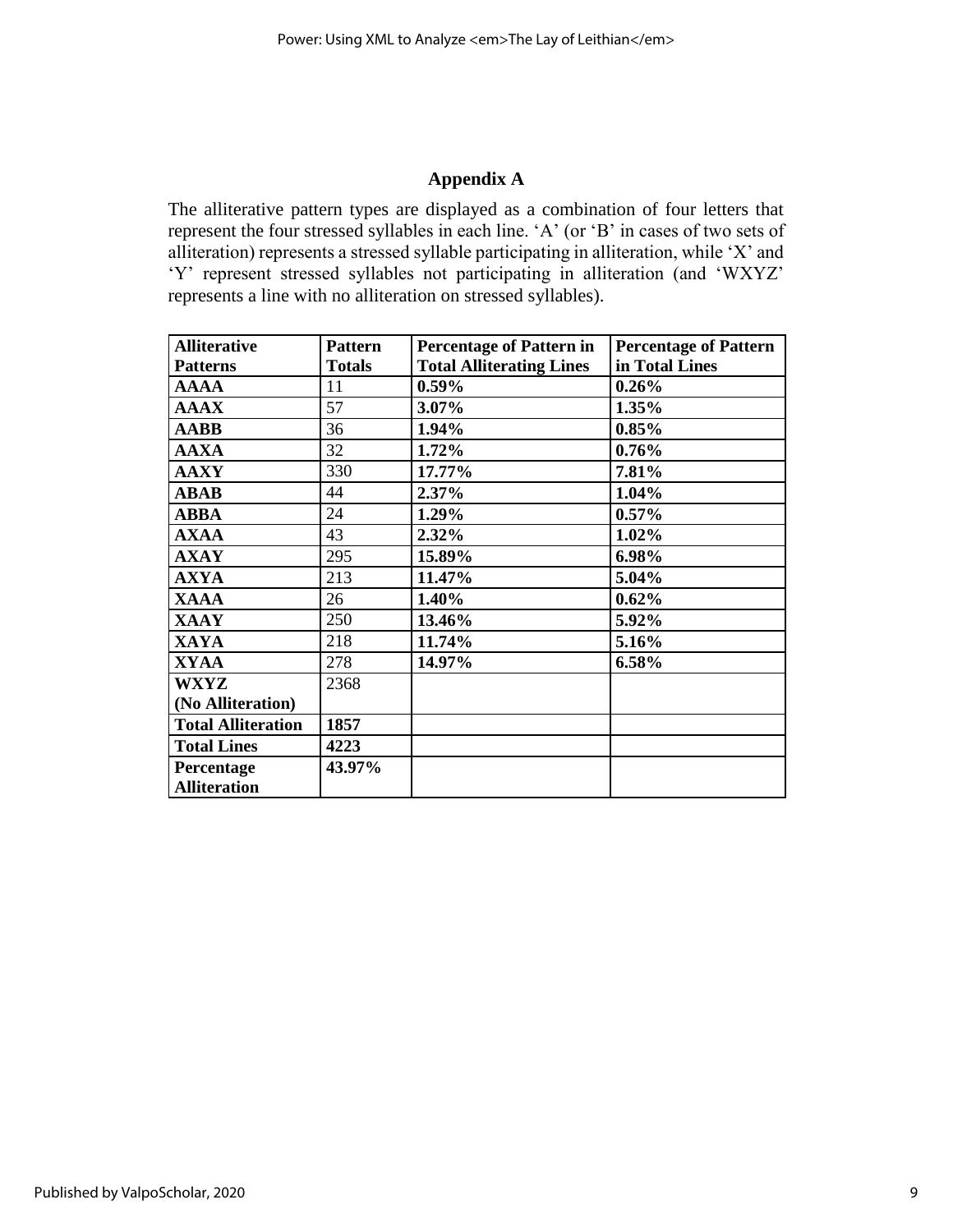### **Appendix A**

The alliterative pattern types are displayed as a combination of four letters that represent the four stressed syllables in each line. 'A' (or 'B' in cases of two sets of alliteration) represents a stressed syllable participating in alliteration, while 'X' and 'Y' represent stressed syllables not participating in alliteration (and 'WXYZ' represents a line with no alliteration on stressed syllables).

| <b>Alliterative</b>       | <b>Pattern</b> | <b>Percentage of Pattern in</b> | <b>Percentage of Pattern</b> |
|---------------------------|----------------|---------------------------------|------------------------------|
| <b>Patterns</b>           | <b>Totals</b>  | <b>Total Alliterating Lines</b> | in Total Lines               |
| <b>AAAA</b>               | 11             | $0.59\%$                        | 0.26%                        |
| <b>AAAX</b>               | 57             | 3.07%                           | 1.35%                        |
| <b>AABB</b>               | 36             | 1.94%                           | 0.85%                        |
| <b>AAXA</b>               | 32             | 1.72%                           | 0.76%                        |
| <b>AAXY</b>               | 330            | 17.77%                          | 7.81%                        |
| <b>ABAB</b>               | 44             | 2.37%                           | 1.04%                        |
| <b>ABBA</b>               | 24             | 1.29%                           | $0.57\%$                     |
| <b>AXAA</b>               | 43             | $2.32\%$                        | 1.02%                        |
| <b>AXAY</b>               | 295            | 15.89%                          | 6.98%                        |
| <b>AXYA</b>               | 213            | 11.47%                          | 5.04%                        |
| <b>XAAA</b>               | 26             | 1.40%                           | 0.62%                        |
| <b>XAAY</b>               | 250            | 13.46%                          | 5.92%                        |
| <b>XAYA</b>               | 218            | 11.74%                          | 5.16%                        |
| <b>XYAA</b>               | 278            | 14.97%                          | 6.58%                        |
| <b>WXYZ</b>               | 2368           |                                 |                              |
| (No Alliteration)         |                |                                 |                              |
| <b>Total Alliteration</b> | 1857           |                                 |                              |
| <b>Total Lines</b>        | 4223           |                                 |                              |
| Percentage                | 43.97%         |                                 |                              |
| <b>Alliteration</b>       |                |                                 |                              |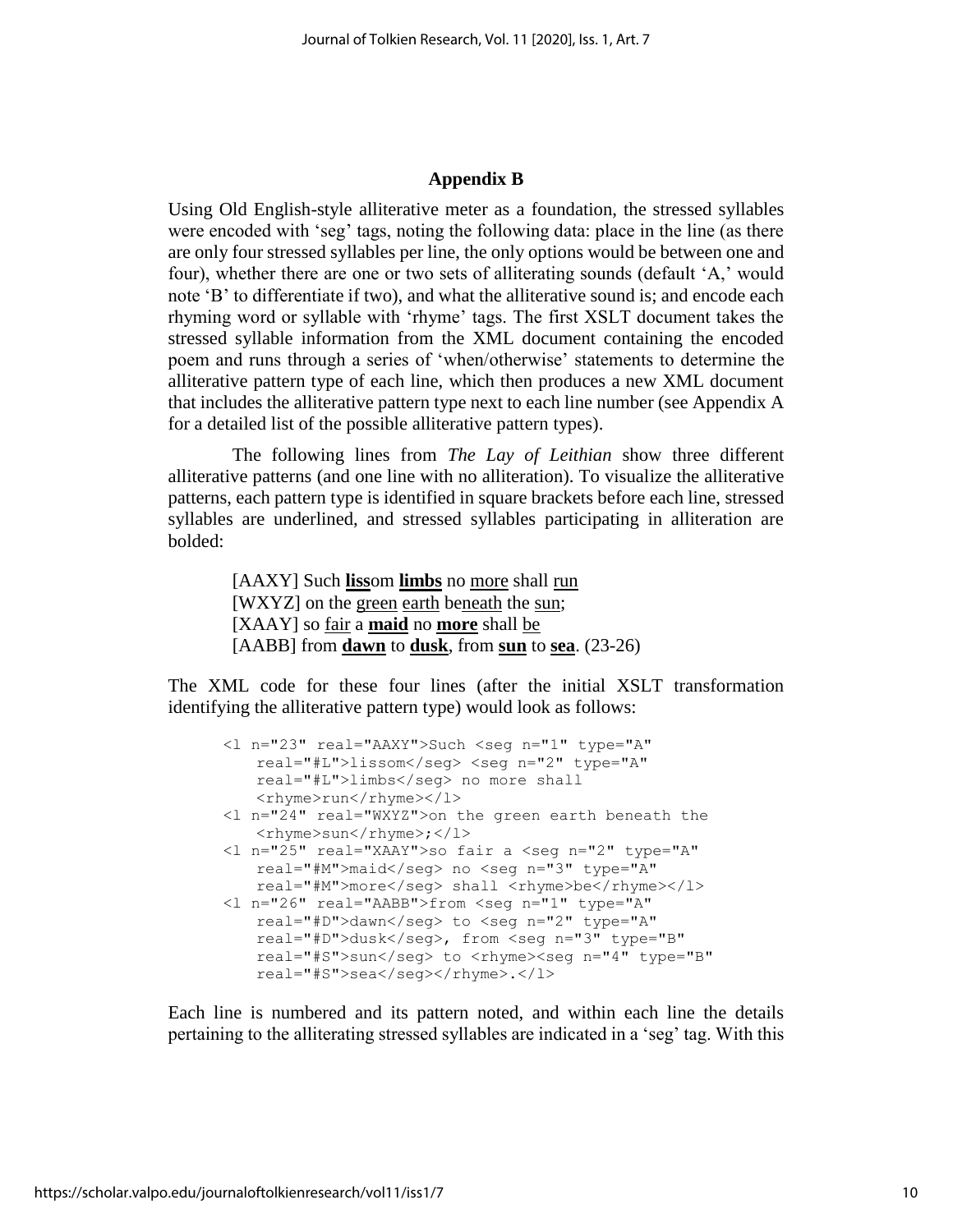#### **Appendix B**

Using Old English-style alliterative meter as a foundation, the stressed syllables were encoded with 'seg' tags, noting the following data: place in the line (as there are only four stressed syllables per line, the only options would be between one and four), whether there are one or two sets of alliterating sounds (default 'A,' would note 'B' to differentiate if two), and what the alliterative sound is; and encode each rhyming word or syllable with 'rhyme' tags. The first XSLT document takes the stressed syllable information from the XML document containing the encoded poem and runs through a series of 'when/otherwise' statements to determine the alliterative pattern type of each line, which then produces a new XML document that includes the alliterative pattern type next to each line number (see Appendix A for a detailed list of the possible alliterative pattern types).

The following lines from *The Lay of Leithian* show three different alliterative patterns (and one line with no alliteration). To visualize the alliterative patterns, each pattern type is identified in square brackets before each line, stressed syllables are underlined, and stressed syllables participating in alliteration are bolded:

> [AAXY] Such **liss**om **limbs** no more shall run [WXYZ] on the green earth beneath the sun; [XAAY] so fair a **maid** no **more** shall be [AABB] from **dawn** to **dusk**, from **sun** to **sea**. (23-26)

The XML code for these four lines (after the initial XSLT transformation identifying the alliterative pattern type) would look as follows:

```
<l n="23" real="AAXY">Such <seg n="1" type="A" 
   real="#L">lissom</seg> <seg n="2" type="A" 
   real="#L">limbs</seg> no more shall 
   <rhyme>run</rhyme></l>
<l n="24" real="WXYZ">on the green earth beneath the 
   <rhyme>sun</rhyme>;</l>
<l n="25" real="XAAY">so fair a <seg n="2" type="A" 
   real="#M">maid</seg> no <seg n="3" type="A" 
   real="#M">more</seg> shall <rhyme>be</rhyme></l>
<l n="26" real="AABB">from <seg n="1" type="A" 
   real="#D">dawn</seg> to <seg n="2" type="A" 
   real="#D">dusk</seg>, from <seg n="3" type="B" 
   real="#S">sun</seg> to <rhyme><seg n="4" type="B"
   real="#S">sea</seq></rhyme>.</l>
```
Each line is numbered and its pattern noted, and within each line the details pertaining to the alliterating stressed syllables are indicated in a 'seg' tag. With this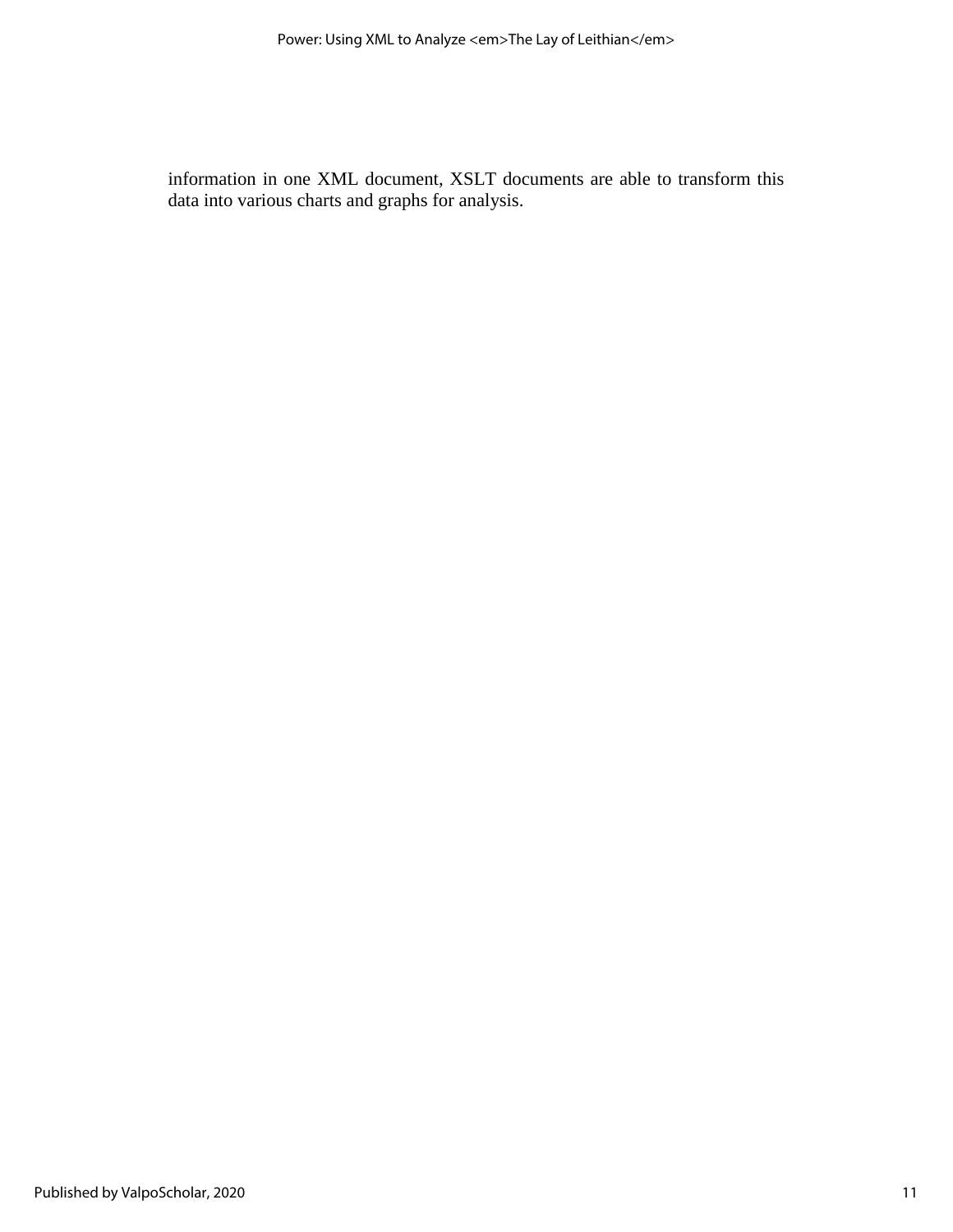information in one XML document, XSLT documents are able to transform this data into various charts and graphs for analysis.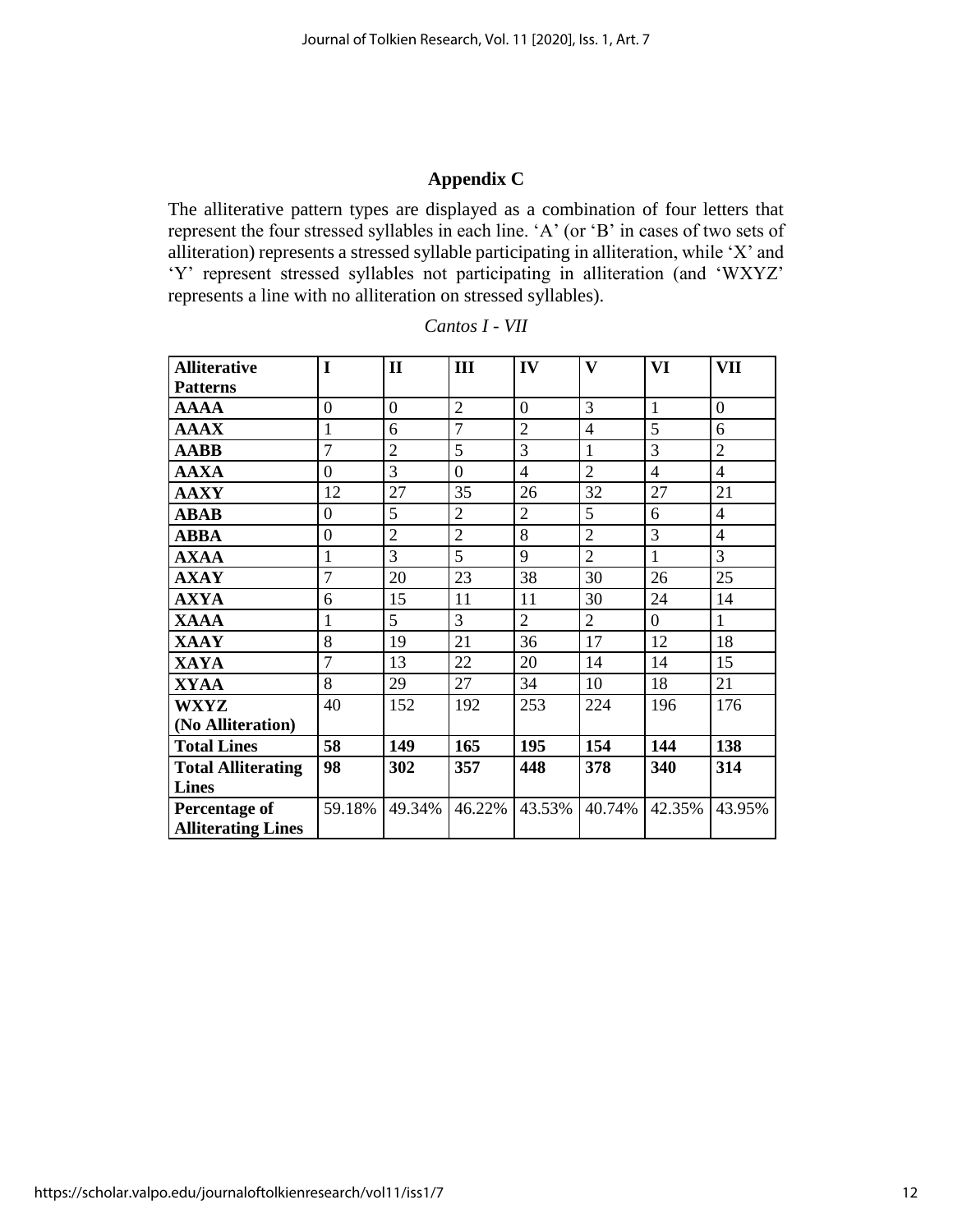# **Appendix C**

The alliterative pattern types are displayed as a combination of four letters that represent the four stressed syllables in each line. 'A' (or 'B' in cases of two sets of alliteration) represents a stressed syllable participating in alliteration, while 'X' and 'Y' represent stressed syllables not participating in alliteration (and 'WXYZ' represents a line with no alliteration on stressed syllables).

| <b>Alliterative</b>       | I                | $\mathbf{I}$   | III            | IV             | V              | VI             | VII            |
|---------------------------|------------------|----------------|----------------|----------------|----------------|----------------|----------------|
| <b>Patterns</b>           |                  |                |                |                |                |                |                |
| <b>AAAA</b>               | $\overline{0}$   | $\overline{0}$ | $\overline{2}$ | $\overline{0}$ | 3              | $\mathbf{1}$   | $\Omega$       |
| <b>AAAX</b>               | 1                | 6              | $\overline{7}$ | $\overline{2}$ | 4              | 5              | 6              |
| <b>AABB</b>               | $\overline{7}$   | $\overline{2}$ | 5              | 3              | $\mathbf{1}$   | $\overline{3}$ | $\overline{2}$ |
| <b>AAXA</b>               | $\overline{0}$   | $\overline{3}$ | $\overline{0}$ | $\overline{4}$ | $\overline{2}$ | $\overline{4}$ | $\overline{4}$ |
| <b>AAXY</b>               | 12               | 27             | 35             | 26             | 32             | 27             | 21             |
| <b>ABAB</b>               | $\overline{0}$   | 5              | $\overline{2}$ | $\overline{2}$ | 5              | 6              | $\overline{4}$ |
| <b>ABBA</b>               | $\boldsymbol{0}$ | $\overline{2}$ | $\overline{2}$ | 8              | $\overline{2}$ | 3              | $\overline{4}$ |
| <b>AXAA</b>               | 1                | $\overline{3}$ | 5              | 9              | $\overline{2}$ | $\mathbf{1}$   | $\overline{3}$ |
| <b>AXAY</b>               | $\overline{7}$   | 20             | 23             | 38             | 30             | 26             | 25             |
| <b>AXYA</b>               | 6                | 15             | 11             | 11             | 30             | 24             | 14             |
| <b>XAAA</b>               | 1                | 5              | $\overline{3}$ | $\overline{2}$ | $\overline{2}$ | $\overline{0}$ | $\mathbf{1}$   |
| <b>XAAY</b>               | 8                | 19             | 21             | 36             | 17             | 12             | 18             |
| <b>XAYA</b>               | $\overline{7}$   | 13             | 22             | 20             | 14             | 14             | 15             |
| <b>XYAA</b>               | 8                | 29             | 27             | 34             | 10             | 18             | 21             |
| <b>WXYZ</b>               | 40               | 152            | 192            | 253            | 224            | 196            | 176            |
| (No Alliteration)         |                  |                |                |                |                |                |                |
| <b>Total Lines</b>        | 58               | 149            | 165            | 195            | 154            | 144            | 138            |
| <b>Total Alliterating</b> | 98               | 302            | 357            | 448            | 378            | 340            | 314            |
| <b>Lines</b>              |                  |                |                |                |                |                |                |
| <b>Percentage of</b>      | 59.18%           | 49.34%         | 46.22%         | 43.53%         | 40.74%         | 42.35%         | 43.95%         |
| <b>Alliterating Lines</b> |                  |                |                |                |                |                |                |

| Cantos I |  |
|----------|--|
|----------|--|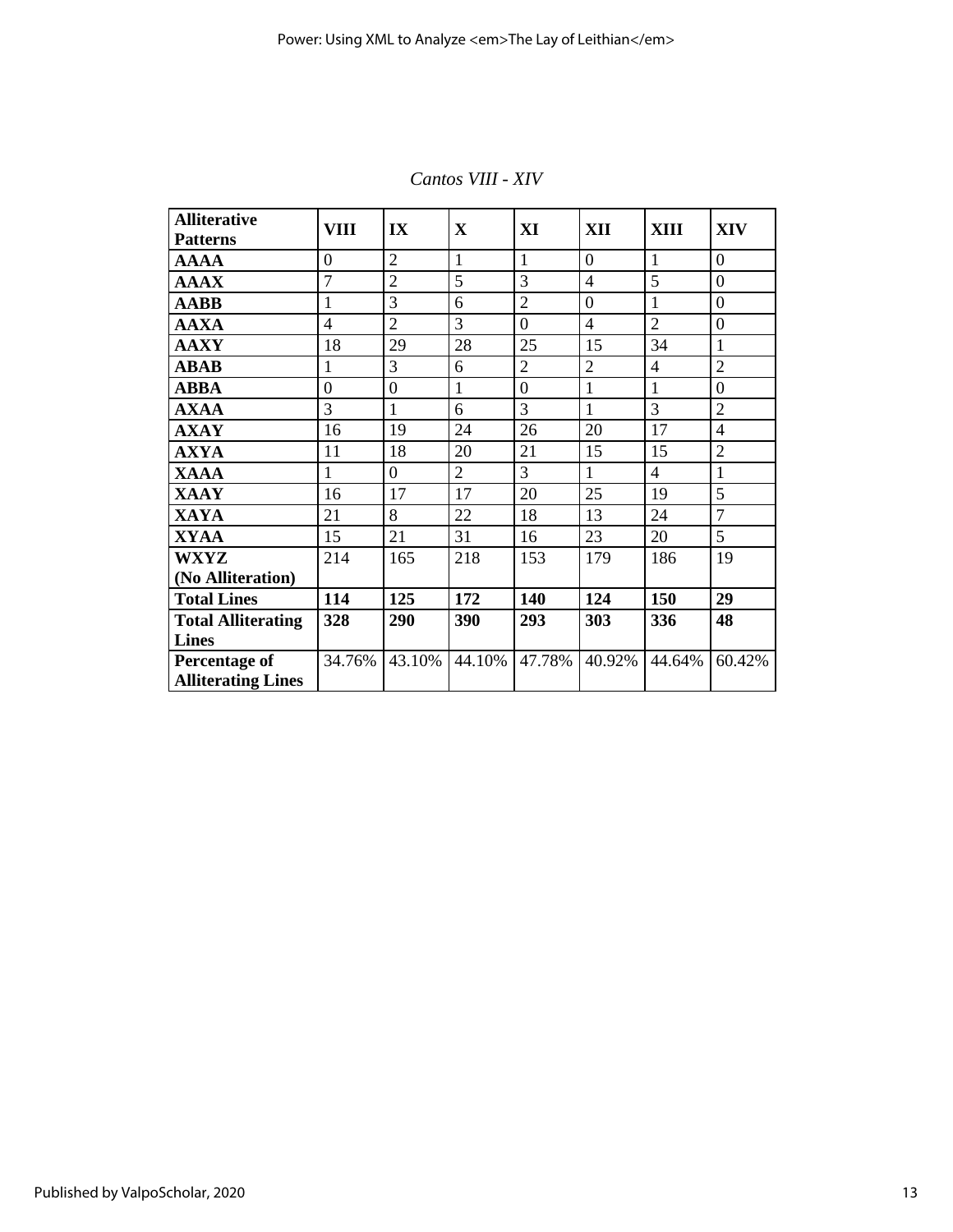| <b>Alliterative</b><br><b>Patterns</b> | VIII           | IX               | $\mathbf X$    | XI               | <b>XII</b>     | XIII           | <b>XIV</b>       |
|----------------------------------------|----------------|------------------|----------------|------------------|----------------|----------------|------------------|
|                                        | $\overline{0}$ | $\overline{2}$   | $\mathbf{1}$   | 1                | $\overline{0}$ | $\mathbf{1}$   | $\overline{0}$   |
| <b>AAAA</b>                            |                |                  |                |                  |                |                |                  |
| <b>AAAX</b>                            | $\overline{7}$ | $\overline{2}$   | 5              | 3                | $\overline{4}$ | 5              | $\mathbf{0}$     |
| <b>AABB</b>                            | $\mathbf{1}$   | 3                | 6              | $\overline{2}$   | $\overline{0}$ | $\mathbf{1}$   | $\overline{0}$   |
| <b>AAXA</b>                            | $\overline{4}$ | $\overline{2}$   | 3              | $\overline{0}$   | $\overline{4}$ | $\overline{2}$ | $\boldsymbol{0}$ |
| <b>AAXY</b>                            | 18             | 29               | 28             | 25               | 15             | 34             | $\mathbf{1}$     |
| <b>ABAB</b>                            | $\mathbf{1}$   | 3                | 6              | $\overline{2}$   | $\overline{2}$ | $\overline{4}$ | $\overline{2}$   |
| <b>ABBA</b>                            | $\overline{0}$ | $\boldsymbol{0}$ | 1              | $\boldsymbol{0}$ | $\mathbf{1}$   | 1              | $\boldsymbol{0}$ |
| <b>AXAA</b>                            | 3              | $\mathbf{1}$     | 6              | 3                | $\mathbf{1}$   | 3              | $\overline{2}$   |
| <b>AXAY</b>                            | 16             | 19               | 24             | 26               | 20             | 17             | $\overline{4}$   |
| <b>AXYA</b>                            | 11             | 18               | 20             | 21               | 15             | 15             | $\overline{2}$   |
| <b>XAAA</b>                            | $\mathbf{1}$   | $\overline{0}$   | $\overline{2}$ | 3                | $\mathbf{1}$   | $\overline{4}$ | $\mathbf{1}$     |
| <b>XAAY</b>                            | 16             | 17               | 17             | 20               | 25             | 19             | 5                |
| <b>XAYA</b>                            | 21             | 8                | 22             | 18               | 13             | 24             | $\overline{7}$   |
| <b>XYAA</b>                            | 15             | 21               | 31             | 16               | 23             | 20             | 5                |
| <b>WXYZ</b>                            | 214            | 165              | 218            | 153              | 179            | 186            | 19               |
| (No Alliteration)                      |                |                  |                |                  |                |                |                  |
| <b>Total Lines</b>                     | 114            | 125              | 172            | 140              | 124            | 150            | 29               |
| <b>Total Alliterating</b>              | 328            | 290              | 390            | 293              | 303            | 336            | 48               |
| <b>Lines</b>                           |                |                  |                |                  |                |                |                  |
| <b>Percentage of</b>                   | 34.76%         | 43.10%           | 44.10%         | 47.78%           | 40.92%         | 44.64%         | 60.42%           |
| <b>Alliterating Lines</b>              |                |                  |                |                  |                |                |                  |

*Cantos VIII - XIV*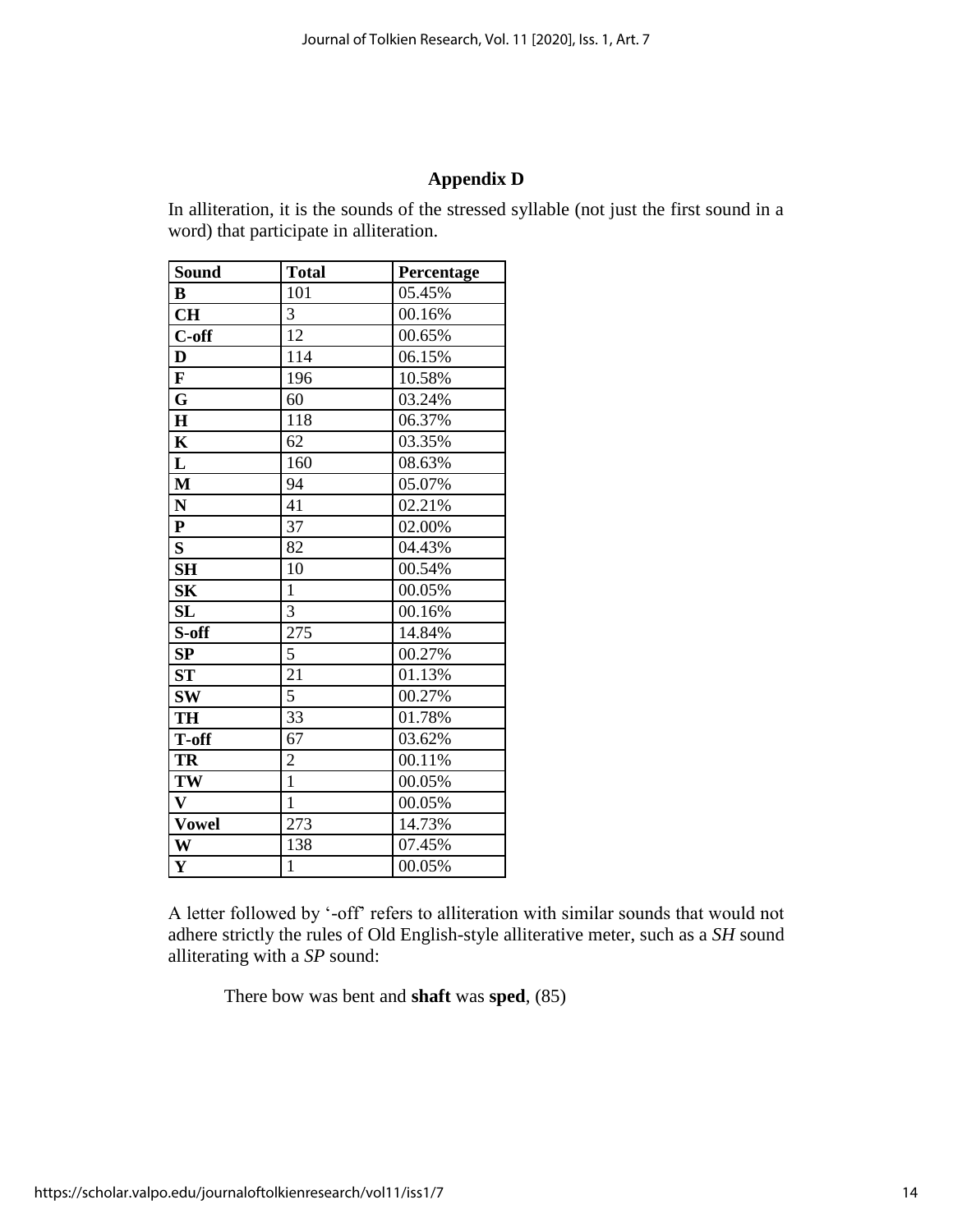# **Appendix D**

In alliteration, it is the sounds of the stressed syllable (not just the first sound in a word) that participate in alliteration.

| <b>Sound</b>            | <b>Total</b>   | Percentage |
|-------------------------|----------------|------------|
| B                       | 101            | 05.45%     |
| <b>CH</b>               | 3              | 00.16%     |
| C-off                   | 12             | 00.65%     |
| D                       | 114            | 06.15%     |
| $\mathbf{F}$            | 196            | 10.58%     |
| G                       | 60             | 03.24%     |
| $\mathbf H$             | 118            | 06.37%     |
| $\mathbf K$             | 62             | 03.35%     |
| L                       | 160            | 08.63%     |
| $\mathbf{M}$            | 94             | 05.07%     |
| ${\bf N}$               | 41             | 02.21%     |
| ${\bf P}$               | 37             | 02.00%     |
| $\overline{\mathbf{S}}$ | 82             | 04.43%     |
| <b>SH</b>               | 10             | 00.54%     |
| S <sub>K</sub>          | $\mathbf{1}$   | 00.05%     |
| <b>SL</b>               | 3              | 00.16%     |
| S-off                   | 275            | 14.84%     |
| SP                      | 5              | 00.27%     |
| ST                      | 21             | 01.13%     |
| <b>SW</b>               | 5              | 00.27%     |
| <b>TH</b>               | 33             | 01.78%     |
| T-off                   | 67             | 03.62%     |
| TR                      | $\overline{2}$ | 00.11%     |
| TW                      | $\overline{1}$ | 00.05%     |
| $\mathbf{V}$            | 1              | 00.05%     |
| <b>Vowel</b>            | 273            | 14.73%     |
| W                       | 138            | 07.45%     |
| $\mathbf{Y}$            | $\mathbf{1}$   | 00.05%     |

A letter followed by '-off' refers to alliteration with similar sounds that would not adhere strictly the rules of Old English-style alliterative meter, such as a *SH* sound alliterating with a *SP* sound:

There bow was bent and **shaft** was **sped**, (85)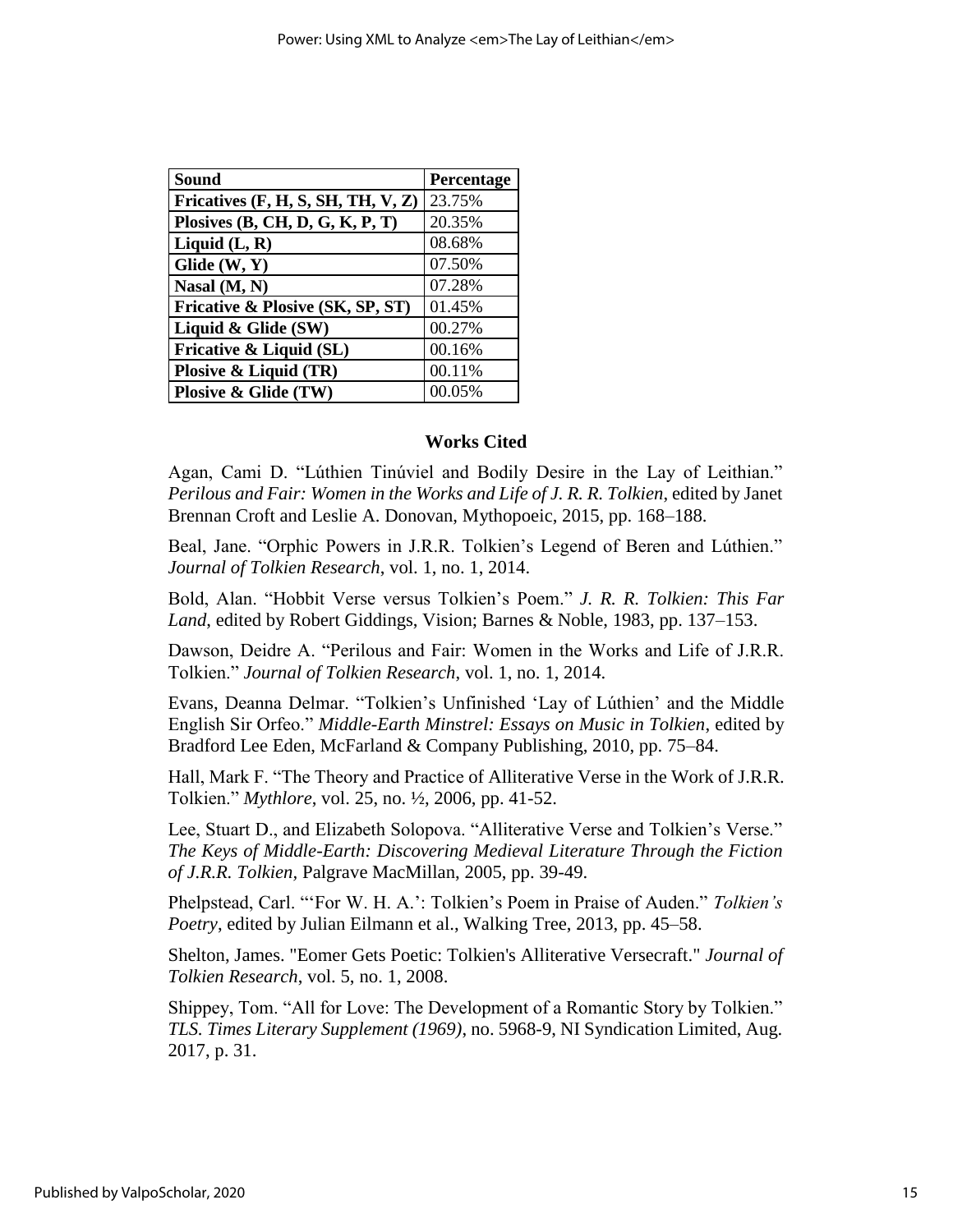| Sound                                | Percentage |
|--------------------------------------|------------|
| Fricatives $(F, H, S, SH, TH, V, Z)$ | 23.75%     |
| Plosives $(B, CH, D, G, K, P, T)$    | 20.35%     |
| Liquid $(L, R)$                      | 08.68%     |
| Glide $(W, Y)$                       | 07.50%     |
| Nasal $(M, N)$                       | 07.28%     |
| Fricative & Plosive (SK, SP, ST)     | 01.45%     |
| Liquid & Glide $(SW)$                | 00.27%     |
| Fricative & Liquid (SL)              | 00.16%     |
| Plosive $\&$ Liquid (TR)             | 00.11%     |
| Plosive & Glide (TW)                 | 00.05%     |

#### **Works Cited**

Agan, Cami D. "Lúthien Tinúviel and Bodily Desire in the Lay of Leithian." *Perilous and Fair: Women in the Works and Life of J. R. R. Tolkien*, edited by Janet Brennan Croft and Leslie A. Donovan, Mythopoeic, 2015, pp. 168–188.

Beal, Jane. "Orphic Powers in J.R.R. Tolkien's Legend of Beren and Lúthien." *Journal of Tolkien Research*, vol. 1, no. 1, 2014.

Bold, Alan. "Hobbit Verse versus Tolkien's Poem." *J. R. R. Tolkien: This Far Land*, edited by Robert Giddings, Vision; Barnes & Noble, 1983, pp. 137–153.

Dawson, Deidre A. "Perilous and Fair: Women in the Works and Life of J.R.R. Tolkien." *Journal of Tolkien Research*, vol. 1, no. 1, 2014.

Evans, Deanna Delmar. "Tolkien's Unfinished 'Lay of Lúthien' and the Middle English Sir Orfeo." *Middle-Earth Minstrel: Essays on Music in Tolkien*, edited by Bradford Lee Eden, McFarland & Company Publishing, 2010, pp. 75–84.

Hall, Mark F. "The Theory and Practice of Alliterative Verse in the Work of J.R.R. Tolkien." *Mythlore*, vol. 25, no. ½, 2006, pp. 41-52.

Lee, Stuart D., and Elizabeth Solopova. "Alliterative Verse and Tolkien's Verse." *The Keys of Middle-Earth: Discovering Medieval Literature Through the Fiction of J.R.R. Tolkien,* Palgrave MacMillan, 2005, pp. 39-49.

Phelpstead, Carl. "'For W. H. A.': Tolkien's Poem in Praise of Auden." *Tolkien's Poetry*, edited by Julian Eilmann et al., Walking Tree, 2013, pp. 45–58.

Shelton, James. "Eomer Gets Poetic: Tolkien's Alliterative Versecraft." *Journal of Tolkien Research*, vol. 5, no. 1, 2008.

Shippey, Tom. "All for Love: The Development of a Romantic Story by Tolkien." *TLS. Times Literary Supplement (1969)*, no. 5968-9, NI Syndication Limited, Aug. 2017, p. 31.